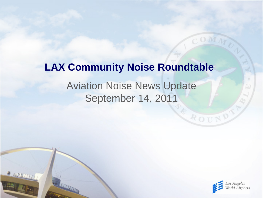# **LAX Community Noise Roundtable**

#### Aviation Noise News Update September 14, 2011

 $2000000$ 



ROUND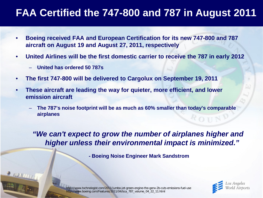### **FAA Certified the 747-800 and 787 in August 2011**

- **Boeing received FAA and European Certification for its new 747-800 and 787 aircraft on August 19 and August 27, 2011, respectively**
- **United Airlines will be the first domestic carrier to receive the 787 in early 2012**
	- **United has ordered 50 787s**
- **The first 747-800 will be delivered to Cargolux on September 19, 2011**
- **These aircraft are leading the way for quieter, more efficient, and lower emission aircraft**
	- **The 787's noise footprint will be as much as 60% smaller than today's comparable airplanes**

*"We can't expect to grow the number of airplanes higher and higher unless their environmental impact is minimized."*

**- Boeing Noise Engineer Mark Sandstrom**



http://www.txchnologist.com/2011/jumbo-jet-green-engine-the-genx-2b-cuts-emissions-fuel-use http://www.boeing.com/Features/2011/04/bca\_787\_volume\_04\_22\_11.html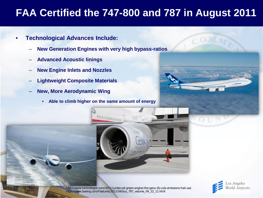## **FAA Certified the 747-800 and 787 in August 2011**

- **Technological Advances Include:**
	- **New Generation Engines with very high bypass-ratios**
	- **Advanced Acoustic linings**
	- **New Engine Inlets and Nozzles**
	- **Lightweight Composite Materials**
	- **New, More Aerodynamic Wing**
		- **Able to climb higher on the same amount of energy**







http://www.txchnologist.com/2011/jumbo-jet-green-engine-the-genx-2b-cuts-emissions-fuel-use http://www.boeing.com/Features/2011/04/bca\_787\_volume\_04\_22\_11.html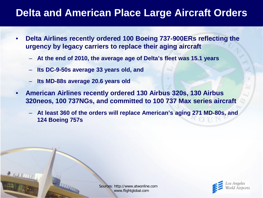#### **Delta and American Place Large Aircraft Orders**

- **Delta Airlines recently ordered 100 Boeing 737-900ERs reflecting the urgency by legacy carriers to replace their aging aircraft**
	- **At the end of 2010, the average age of Delta's fleet was 15.1 years**
	- **Its DC-9-50s average 33 years old, and**
	- **Its MD-88s average 20.6 years old**
- **American Airlines recently ordered 130 Airbus 320s, 130 Airbus 320neos, 100 737NGs, and committed to 100 737 Max series aircraft**
	- **At least 360 of the orders will replace American's aging 271 MD-80s, and 124 Boeing 757s**

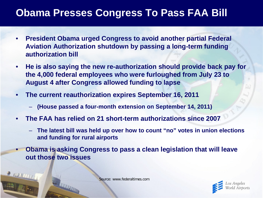#### **Obama Presses Congress To Pass FAA Bill**

- **President Obama urged Congress to avoid another partial Federal Aviation Authorization shutdown by passing a long-term funding authorization bill**
- **He is also saying the new re-authorization should provide back pay for the 4,000 federal employees who were furloughed from July 23 to August 4 after Congress allowed funding to lapse**
- **The current reauthorization expires September 16, 2011**
	- **(House passed a four-month extension on September 14, 2011)**
- **The FAA has relied on 21 short-term authorizations since 2007**
	- **The latest bill was held up over how to count "no" votes in union elections and funding for rural airports**
- **Obama is asking Congress to pass a clean legislation that will leave out those two issues**

Source: www.federaltimes.com

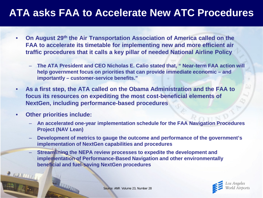#### **ATA asks FAA to Accelerate New ATC Procedures**

- **On August 29th the Air Transportation Association of America called on the FAA to accelerate its timetable for implementing new and more efficient air traffic procedures that it calls a key pillar of needed National Airline Policy**
	- **The ATA President and CEO Nicholas E. Calio stated that, " Near-term FAA action will help government focus on priorities that can provide immediate economic – and importantly – customer-service benefits."**
- **As a first step, the ATA called on the Obama Administration and the FAA to focus its resources on expediting the most cost-beneficial elements of NextGen, including performance-based procedures**
- **Other priorities include:** 
	- **An accelerated one-year implementation schedule for the FAA Navigation Procedures Project (NAV Lean)**
	- **Development of metrics to gauge the outcome and performance of the government's implementation of NextGen capabilities and procedures**
	- **Streamlining the NEPA review processes to expedite the development and implementation of Performance-Based Navigation and other environmentally beneficial and fuel-saving NextGen procedures**